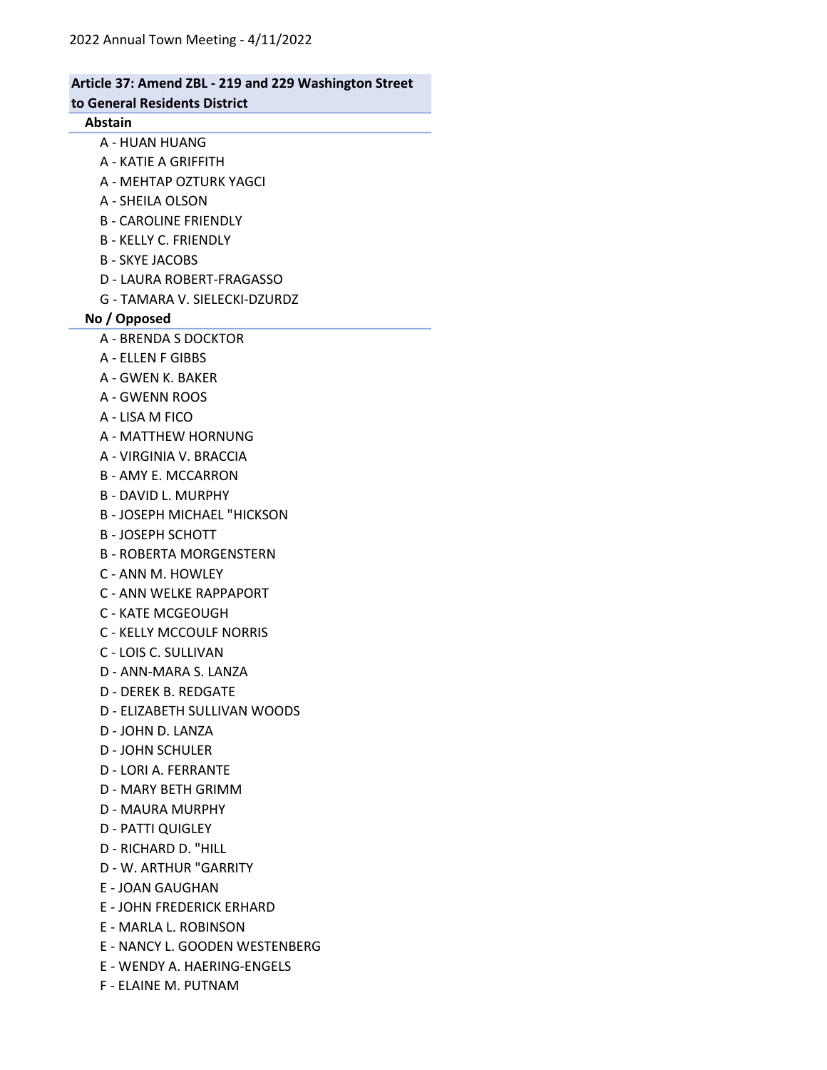### Article 37: Amend ZBL - 219 and 229 Washington Street to General Residents District Abstain A - HUAN HUANG A - KATIE A GRIFFITH A - MEHTAP OZTURK YAGCI A - SHEILA OLSON B - CAROLINE FRIENDLY B - KELLY C. FRIENDLY B - SKYE JACOBS D - LAURA ROBERT-FRAGASSO G - TAMARA V. SIELECKI-DZURDZ No / Opposed A - BRENDA S DOCKTOR A - ELLEN F GIBBS A - GWEN K. BAKER A - GWENN ROOS A - LISA M FICO A - MATTHEW HORNUNG A - VIRGINIA V. BRACCIA B - AMY E. MCCARRON B - DAVID L. MURPHY B - JOSEPH MICHAEL "HICKSON B - JOSEPH SCHOTT B - ROBERTA MORGENSTERN C - ANN M. HOWLEY C - ANN WELKE RAPPAPORT C - KATE MCGEOUGH C - KELLY MCCOULF NORRIS C - LOIS C. SULLIVAN D - ANN-MARA S. LANZA D - DEREK B. REDGATE D - ELIZABETH SULLIVAN WOODS D - JOHN D. LANZA D - JOHN SCHULER D - LORI A. FERRANTE D - MARY BETH GRIMM D - MAURA MURPHY D - PATTI QUIGLEY D - RICHARD D. "HILL D - W. ARTHUR "GARRITY E - JOAN GAUGHAN E - JOHN FREDERICK ERHARD E - MARLA L. ROBINSON E - NANCY L. GOODEN WESTENBERG E - WENDY A. HAERING-ENGELS

F - ELAINE M. PUTNAM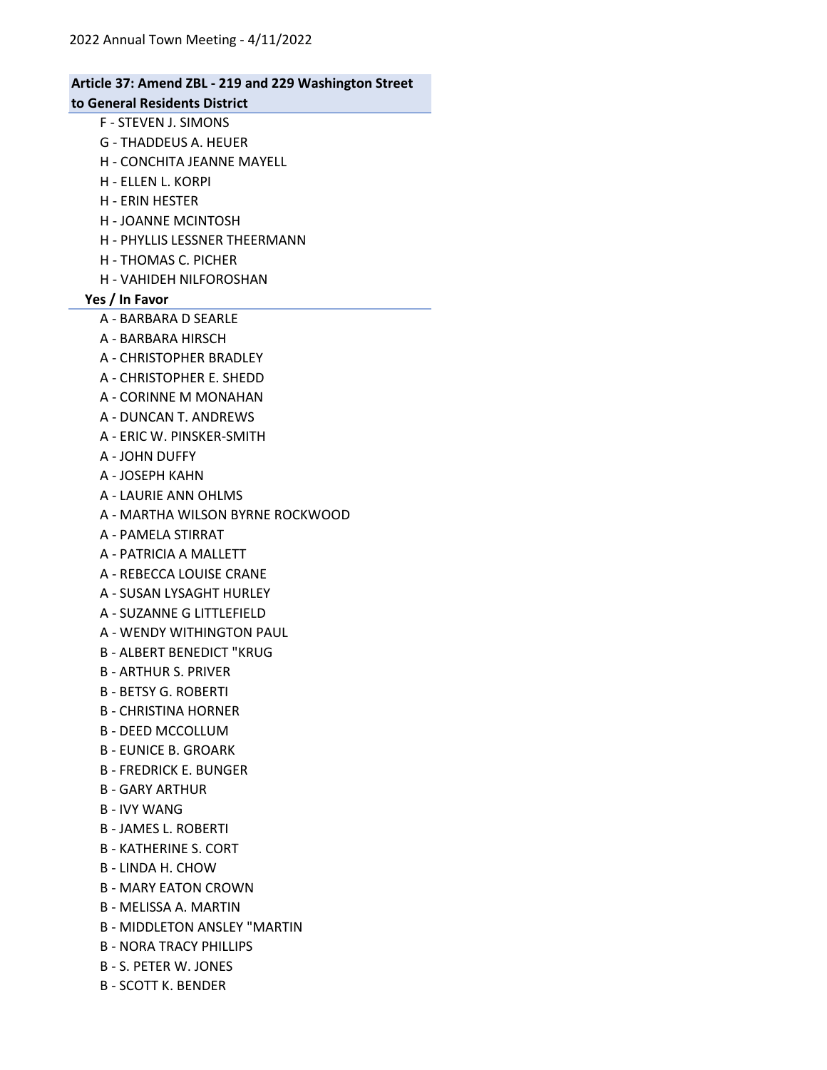## 2022 Annual Town Meeting - 4/11/2022 Article 37: Amend ZBL - 219 and 229 Washington Street to General Residents District F - STEVEN J. SIMONS G - THADDEUS A. HEUER H - CONCHITA JEANNE MAYELL H - ELLEN L. KORPI H - ERIN HESTER H - JOANNE MCINTOSH H - PHYLLIS LESSNER THEERMANN H - THOMAS C. PICHER H - VAHIDEH NILFOROSHAN Yes / In Favor A - BARBARA D SEARLE A - BARBARA HIRSCH A - CHRISTOPHER BRADLEY A - CHRISTOPHER E. SHEDD A - CORINNE M MONAHAN A - DUNCAN T. ANDREWS A - ERIC W. PINSKER-SMITH A - JOHN DUFFY A - JOSEPH KAHN A - LAURIE ANN OHLMS A - MARTHA WILSON BYRNE ROCKWOOD A - PAMELA STIRRAT A - PATRICIA A MALLETT A - REBECCA LOUISE CRANE A - SUSAN LYSAGHT HURLEY A - SUZANNE G LITTLEFIELD A - WENDY WITHINGTON PAUL B - ALBERT BENEDICT "KRUG B - ARTHUR S. PRIVER B - BETSY G. ROBERTI B - CHRISTINA HORNER B - DEED MCCOLLUM B - EUNICE B. GROARK B - FREDRICK E. BUNGER B - GARY ARTHUR B - IVY WANG B - JAMES L. ROBERTI B - KATHERINE S. CORT B - LINDA H. CHOW B - MARY EATON CROWN B - MELISSA A. MARTIN

- B MIDDLETON ANSLEY "MARTIN
- B NORA TRACY PHILLIPS
- B S. PETER W. JONES
- B SCOTT K. BENDER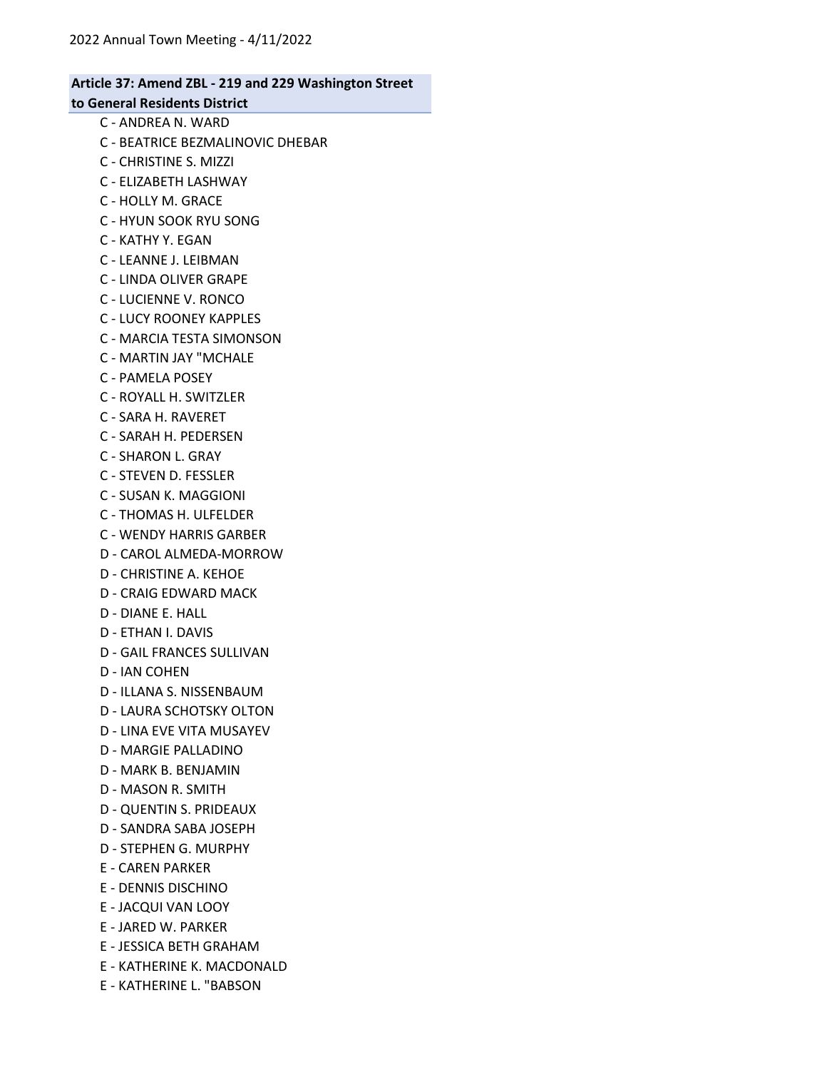#### Article 37: Amend ZBL - 219 and 229 Washington Street to General Residents District

C - ANDREA N. WARD

- C BEATRICE BEZMALINOVIC DHEBAR
- C CHRISTINE S. MIZZI
- C ELIZABETH LASHWAY
- C HOLLY M. GRACE
- C HYUN SOOK RYU SONG
- C KATHY Y. EGAN
- C LEANNE J. LEIBMAN
- C LINDA OLIVER GRAPE
- C LUCIENNE V. RONCO
- C LUCY ROONEY KAPPLES
- C MARCIA TESTA SIMONSON
- C MARTIN JAY "MCHALE
- C PAMELA POSEY
- C ROYALL H. SWITZLER
- C SARA H. RAVERET
- C SARAH H. PEDERSEN
- C SHARON L. GRAY
- C STEVEN D. FESSLER
- C SUSAN K. MAGGIONI
- C THOMAS H. ULFELDER
- C WENDY HARRIS GARBER
- D CAROL ALMEDA-MORROW
- D CHRISTINE A. KEHOE
- D CRAIG EDWARD MACK
- D DIANE E. HALL
- D ETHAN I. DAVIS
- D GAIL FRANCES SULLIVAN
- D IAN COHEN
- D ILLANA S. NISSENBAUM
- D LAURA SCHOTSKY OLTON
- D LINA EVE VITA MUSAYEV
- D MARGIE PALLADINO
- D MARK B. BENJAMIN
- D MASON R. SMITH
- D QUENTIN S. PRIDEAUX
- D SANDRA SABA JOSEPH
- D STEPHEN G. MURPHY
- E CAREN PARKER
- E DENNIS DISCHINO
- E JACQUI VAN LOOY
- E JARED W. PARKER
- E JESSICA BETH GRAHAM
- E KATHERINE K. MACDONALD
- E KATHERINE L. "BABSON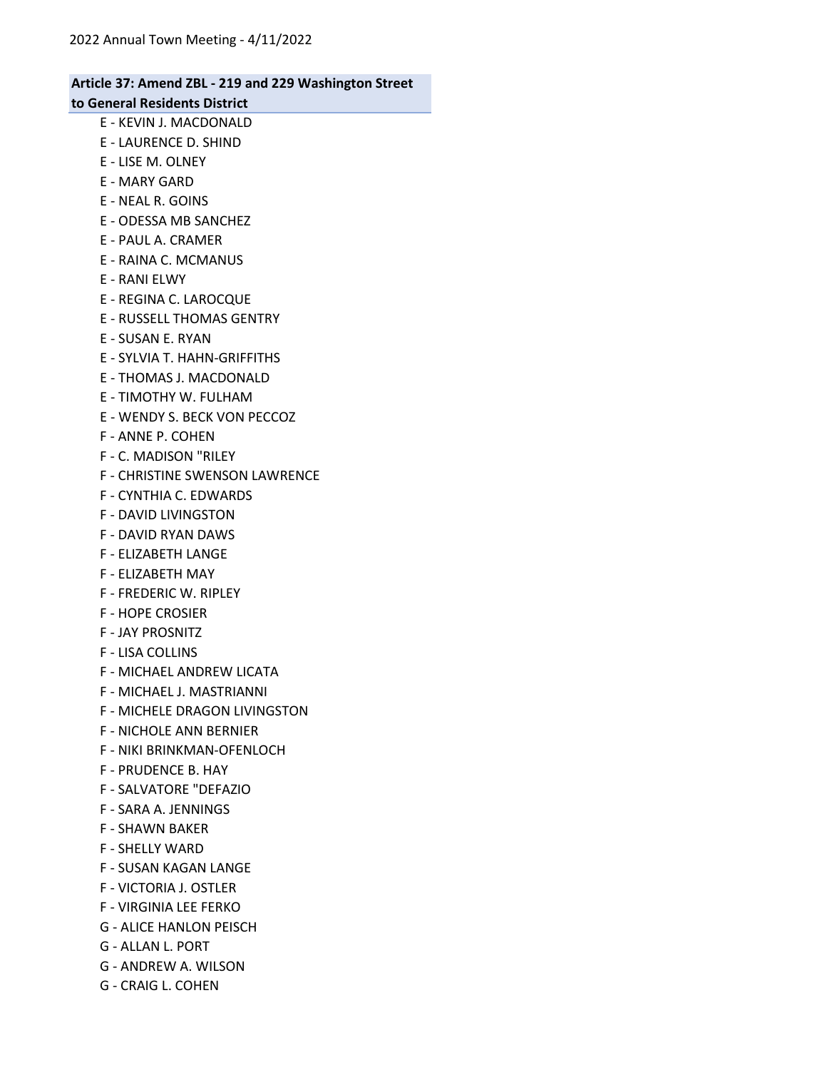### Article 37: Amend ZBL - 219 and 229 Washington Street to General Residents District

- E KEVIN J. MACDONALD
- E LAURENCE D. SHIND
- E LISE M. OLNEY
- E MARY GARD
- E NEAL R. GOINS
- E ODESSA MB SANCHEZ
- E PAUL A. CRAMER
- E RAINA C. MCMANUS
- E RANI ELWY
- E REGINA C. LAROCQUE
- E RUSSELL THOMAS GENTRY
- E SUSAN E. RYAN
- E SYLVIA T. HAHN-GRIFFITHS
- E THOMAS J. MACDONALD
- E TIMOTHY W. FULHAM
- E WENDY S. BECK VON PECCOZ
- F ANNE P. COHEN
- F C. MADISON "RILEY
- F CHRISTINE SWENSON LAWRENCE
- F CYNTHIA C. EDWARDS
- F DAVID LIVINGSTON
- F DAVID RYAN DAWS
- F ELIZABETH LANGE
- F ELIZABETH MAY
- F FREDERIC W. RIPLEY
- F HOPE CROSIER
- F JAY PROSNITZ
- F LISA COLLINS
- F MICHAEL ANDREW LICATA
- F MICHAEL J. MASTRIANNI
- F MICHELE DRAGON LIVINGSTON
- F NICHOLE ANN BERNIER
- F NIKI BRINKMAN-OFENLOCH
- F PRUDENCE B. HAY
- F SALVATORE "DEFAZIO
- F SARA A. JENNINGS
- F SHAWN BAKER
- F SHELLY WARD
- F SUSAN KAGAN LANGE
- F VICTORIA J. OSTLER
- F VIRGINIA LEE FERKO
- G ALICE HANLON PEISCH
- G ALLAN L. PORT
- G ANDREW A. WILSON
- G CRAIG L. COHEN